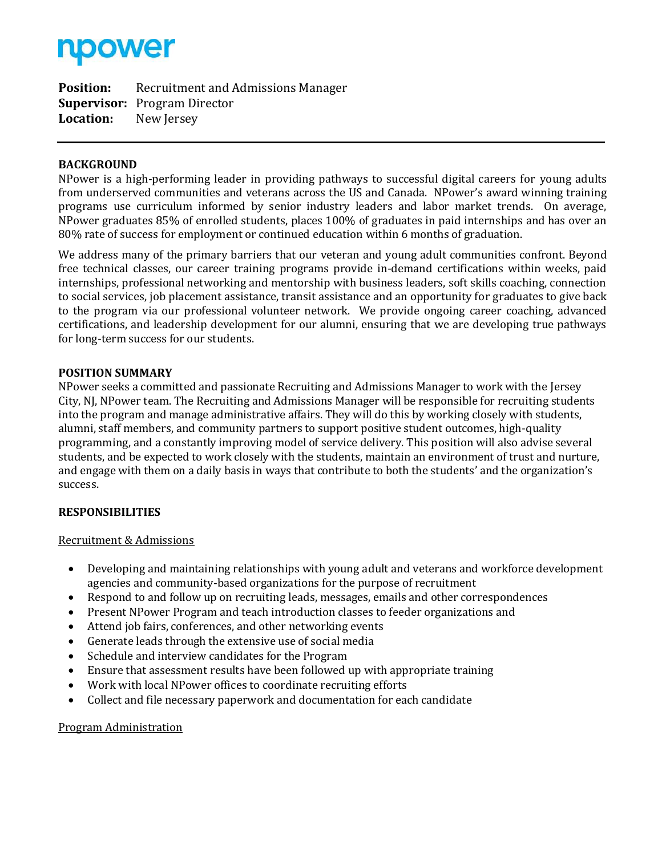

**Position:** Recruitment and Admissions Manager **Supervisor:** Program Director **Location:** New Jersey

## **BACKGROUND**

NPower is a high-performing leader in providing pathways to successful digital careers for young adults from underserved communities and veterans across the US and Canada. NPower's award winning training programs use curriculum informed by senior industry leaders and labor market trends. On average, NPower graduates 85% of enrolled students, places 100% of graduates in paid internships and has over an 80% rate of success for employment or continued education within 6 months of graduation.

We address many of the primary barriers that our veteran and young adult communities confront. Beyond free technical classes, our career training programs provide in-demand certifications within weeks, paid internships, professional networking and mentorship with business leaders, soft skills coaching, connection to social services, job placement assistance, transit assistance and an opportunity for graduates to give back to the program via our professional volunteer network. We provide ongoing career coaching, advanced certifications, and leadership development for our alumni, ensuring that we are developing true pathways for long-term success for our students.

## **POSITION SUMMARY**

NPower seeks a committed and passionate Recruiting and Admissions Manager to work with the Jersey City, NJ, NPower team. The Recruiting and Admissions Manager will be responsible for recruiting students into the program and manage administrative affairs. They will do this by working closely with students, alumni, staff members, and community partners to support positive student outcomes, high-quality programming, and a constantly improving model of service delivery. This position will also advise several students, and be expected to work closely with the students, maintain an environment of trust and nurture, and engage with them on a daily basis in ways that contribute to both the students' and the organization's success.

## **RESPONSIBILITIES**

## Recruitment & Admissions

- Developing and maintaining relationships with young adult and veterans and workforce development agencies and community-based organizations for the purpose of recruitment
- Respond to and follow up on recruiting leads, messages, emails and other correspondences
- Present NPower Program and teach introduction classes to feeder organizations and
- Attend job fairs, conferences, and other networking events
- Generate leads through the extensive use of social media
- Schedule and interview candidates for the Program
- Ensure that assessment results have been followed up with appropriate training
- Work with local NPower offices to coordinate recruiting efforts
- Collect and file necessary paperwork and documentation for each candidate

## Program Administration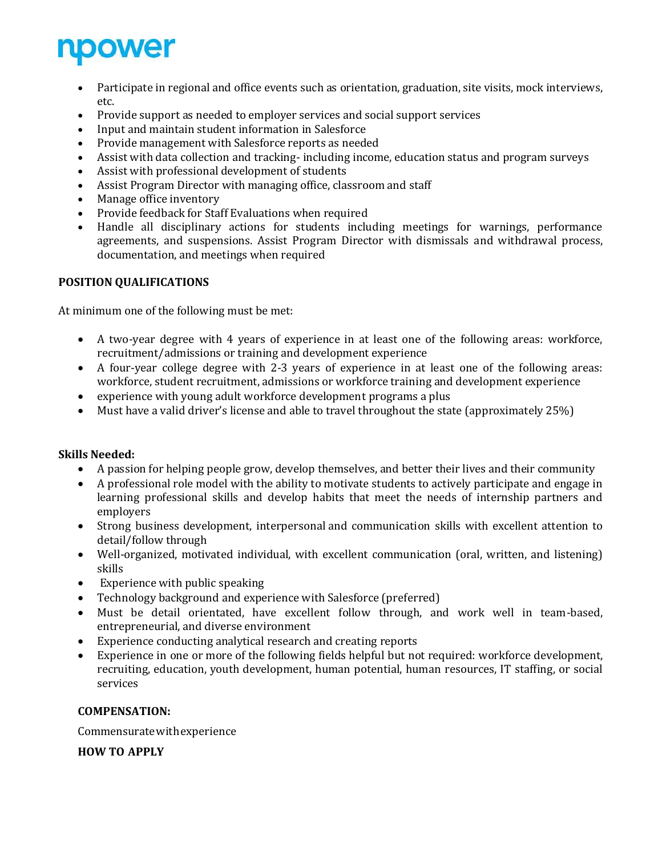

- Participate in regional and office events such as orientation, graduation, site visits, mock interviews, etc.
- Provide support as needed to employer services and social support services
- Input and maintain student information in Salesforce
- Provide management with Salesforce reports as needed
- Assist with data collection and tracking- including income, education status and program surveys
- Assist with professional development of students
- Assist Program Director with managing office, classroom and staff
- Manage office inventory
- Provide feedback for Staff Evaluations when required
- Handle all disciplinary actions for students including meetings for warnings, performance agreements, and suspensions. Assist Program Director with dismissals and withdrawal process, documentation, and meetings when required

# **POSITION QUALIFICATIONS**

At minimum one of the following must be met:

- A two-year degree with 4 years of experience in at least one of the following areas: workforce, recruitment/admissions or training and development experience
- A four-year college degree with 2-3 years of experience in at least one of the following areas: workforce, student recruitment, admissions or workforce training and development experience
- experience with young adult workforce development programs a plus
- Must have a valid driver's license and able to travel throughout the state (approximately 25%)

## **Skills Needed:**

- A passion for helping people grow, develop themselves, and better their lives and their community
- A professional role model with the ability to motivate students to actively participate and engage in learning professional skills and develop habits that meet the needs of internship partners and employers
- Strong business development, interpersonal and communication skills with excellent attention to detail/follow through
- Well-organized, motivated individual, with excellent communication (oral, written, and listening) skills
- Experience with public speaking
- Technology background and experience with Salesforce (preferred)
- Must be detail orientated, have excellent follow through, and work well in team-based, entrepreneurial, and diverse environment
- Experience conducting analytical research and creating reports
- Experience in one or more of the following fields helpful but not required: workforce development, recruiting, education, youth development, human potential, human resources, IT staffing, or social services

## **COMPENSATION:**

Commensuratewithexperience

**HOW TO APPLY**